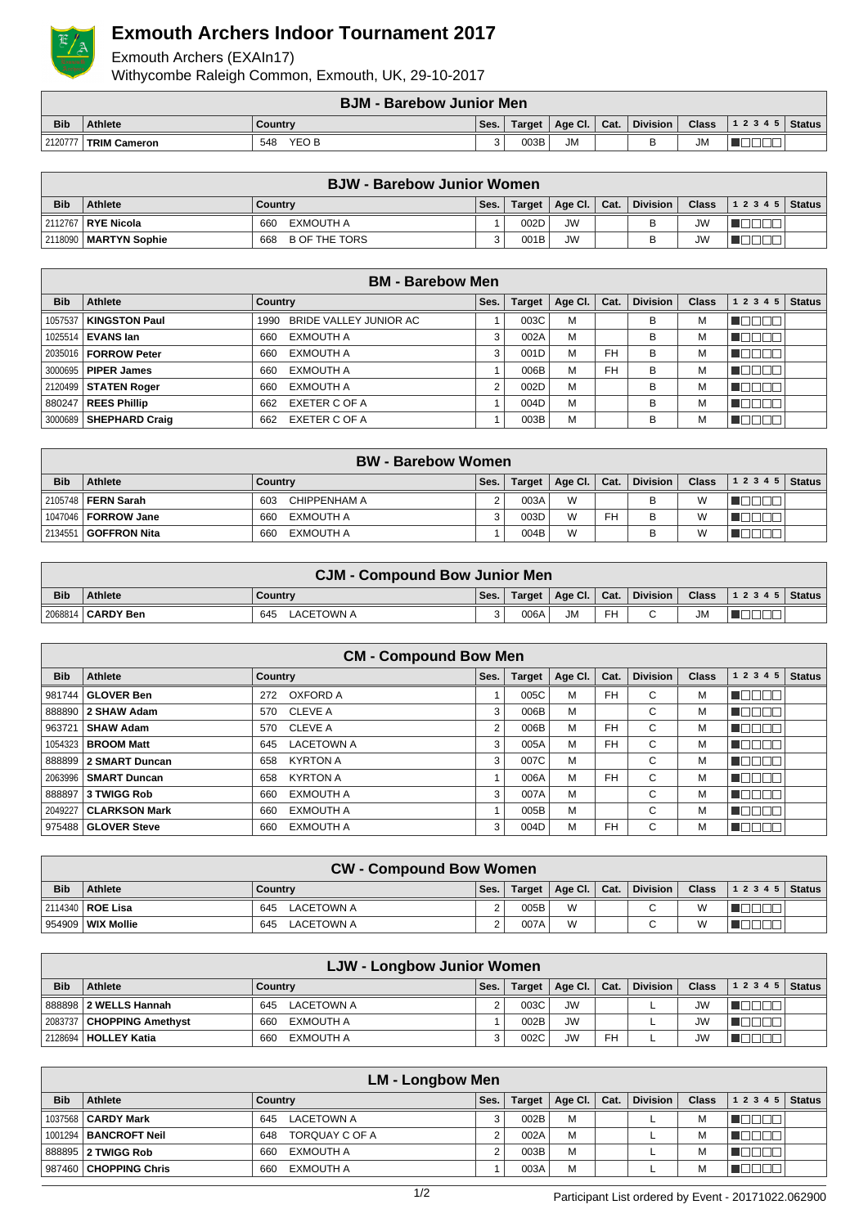

## **Exmouth Archers Indoor Tournament 2017**

Exmouth Archers (EXAIn17) Withycombe Raleigh Common, Exmouth, UK, 29-10-2017

|            | <b>BJM - Barebow Junior Men</b> |              |      |        |                |  |          |              |                  |  |  |
|------------|---------------------------------|--------------|------|--------|----------------|--|----------|--------------|------------------|--|--|
| <b>Bib</b> | <b>Athlete</b>                  | ' Country    | Ses. | Target | Age Cl.   Cat. |  | Division | <b>Class</b> | $ 12345 $ Status |  |  |
| 2120777    | <b>TRIM Cameron</b>             | YEO B<br>548 |      | 003B   | <b>JM</b>      |  |          | JM           |                  |  |  |

| <b>BJW - Barebow Junior Women</b> |                             |                             |      |      |                         |  |          |              |                                  |  |
|-----------------------------------|-----------------------------|-----------------------------|------|------|-------------------------|--|----------|--------------|----------------------------------|--|
| <b>Bib</b>                        | <b>Athlete</b>              | Country                     | Ses. |      | Target   Age Cl.   Cat. |  | Division | <b>Class</b> | $\vert$ 1 2 3 4 5 $\vert$ Status |  |
|                                   | 2112767 <b>  RYE Nicola</b> | EXMOUTH A<br>660            |      | 002D | <b>JW</b>               |  |          | JW           |                                  |  |
|                                   | 2118090   MARTYN Sophie     | <b>B OF THE TORS</b><br>668 |      | 001B | <b>JW</b>               |  |          | JW           |                                  |  |

|            | <b>BM - Barebow Men</b>    |                                |      |               |                 |           |                 |              |              |               |  |  |  |
|------------|----------------------------|--------------------------------|------|---------------|-----------------|-----------|-----------------|--------------|--------------|---------------|--|--|--|
| <b>Bib</b> | Athlete                    | Country                        | Ses. | <b>Target</b> | Age Cl. $\vert$ | Cat.      | <b>Division</b> | <b>Class</b> | 1 2 3 4 5    | <b>Status</b> |  |  |  |
|            | 1057537   KINGSTON Paul    | BRIDE VALLEY JUNIOR AC<br>1990 |      | 003C          | M               |           | B               | м            |              |               |  |  |  |
|            | 1025514   EVANS lan        | EXMOUTH A<br>660               |      | 002A          | M               |           | B               | М            | 888888888888 |               |  |  |  |
|            | 2035016   FORROW Peter     | EXMOUTH A<br>660               | 3    | 001D          | M               | <b>FH</b> | B               | М            |              |               |  |  |  |
|            | 3000695 <b>PIPER James</b> | <b>EXMOUTH A</b><br>660        |      | 006B          | M               | <b>FH</b> | B               | М            |              |               |  |  |  |
|            | 2120499   STATEN Roger     | <b>EXMOUTH A</b><br>660        |      | 002D          | M               |           | B               | M            |              |               |  |  |  |
|            | 880247   REES Phillip      | EXETER C OF A<br>662           |      | 004D          | M               |           | B               | M            |              |               |  |  |  |
|            | 3000689 SHEPHARD Craig     | EXETER C OF A<br>662           |      | 003B          | M               |           | B               | М            |              |               |  |  |  |

|            | <b>BW</b> - Barebow Women |                     |      |        |                      |    |                 |              |                |  |  |  |
|------------|---------------------------|---------------------|------|--------|----------------------|----|-----------------|--------------|----------------|--|--|--|
| <b>Bib</b> | <b>Athlete</b>            | Country             | Ses. | Target | Age Cl. $\vert$ Cat. |    | <b>Division</b> | <b>Class</b> | $12345$ Status |  |  |  |
|            | 2105748 FERN Sarah        | CHIPPENHAM A<br>603 |      | 003A   | W                    |    | B               | W            |                |  |  |  |
|            |                           | EXMOUTH A<br>660    |      | 003D   | W                    | FH | B               | W            |                |  |  |  |
|            | 2134551 GOFFRON Nita      | EXMOUTH A<br>660    |      | 004B   | W                    |    | в               | W            |                |  |  |  |

|            | <b>CJM - Compound Bow Junior Men</b>                                                                      |                   |  |      |           |    |        |           |  |  |  |
|------------|-----------------------------------------------------------------------------------------------------------|-------------------|--|------|-----------|----|--------|-----------|--|--|--|
| <b>Bib</b> | Division   Class   1 2 3 4 5   Status  <br>Target   Age Cl.   Cat.  <br><b>Athlete</b><br>Ses.<br>Country |                   |  |      |           |    |        |           |  |  |  |
|            | 2068814   CARDY Ben                                                                                       | LACETOWN A<br>645 |  | 006A | <b>JM</b> | FH | $\sim$ | <b>JM</b> |  |  |  |

|            | <b>CM - Compound Bow Men</b>                                                                                                    |                          |   |      |   |           |   |   |                |  |  |  |  |
|------------|---------------------------------------------------------------------------------------------------------------------------------|--------------------------|---|------|---|-----------|---|---|----------------|--|--|--|--|
| <b>Bib</b> | <b>Division</b><br>1 2 3 4 5<br><b>Athlete</b><br>Age Cl.<br><b>Class</b><br><b>Status</b><br>Country<br>Ses.<br>Cat.<br>Target |                          |   |      |   |           |   |   |                |  |  |  |  |
|            | 981744 GLOVER Ben                                                                                                               | OXFORD A<br>272          |   | 005C | M | <b>FH</b> | С | M |                |  |  |  |  |
|            | 888890 2 SHAW Adam                                                                                                              | CLEVE A<br>570           | 3 | 006B | M |           | С | м |                |  |  |  |  |
|            | 963721   SHAW Adam                                                                                                              | CLEVE A<br>570           | 2 | 006B | M | <b>FH</b> | С | м |                |  |  |  |  |
|            | 1054323   BROOM Matt                                                                                                            | <b>LACETOWN A</b><br>645 | 3 | 005A | M | <b>FH</b> | С | М | لباليات<br>HH. |  |  |  |  |
|            | 888899 2 SMART Duncan                                                                                                           | <b>KYRTON A</b><br>658   | 3 | 007C | M |           | С | M |                |  |  |  |  |
|            | 2063996   SMART Duncan                                                                                                          | <b>KYRTON A</b><br>658   |   | 006A | M | <b>FH</b> | С | м |                |  |  |  |  |
|            | 888897 3 TWIGG Rob                                                                                                              | <b>EXMOUTH A</b><br>660  | 3 | 007A | M |           | С | М | HOOOO          |  |  |  |  |
|            | 2049227   CLARKSON Mark                                                                                                         | <b>EXMOUTH A</b><br>660  |   | 005B | M |           | С | М | TOEEN          |  |  |  |  |
|            | 975488 GLOVER Steve                                                                                                             | <b>EXMOUTH A</b><br>660  | 3 | 004D | M | <b>FH</b> | С | M |                |  |  |  |  |

| <b>CW - Compound Bow Women</b> |                     |                   |        |      |   |  |                                    |                |                               |  |  |
|--------------------------------|---------------------|-------------------|--------|------|---|--|------------------------------------|----------------|-------------------------------|--|--|
| <b>Bib</b>                     | <b>Athlete</b>      | Country           | Ses.   |      |   |  | Target   Age Cl.   Cat.   Division |                | <b>Class</b> $ 12345 $ Status |  |  |
|                                | 2114340   ROE Lisa  | LACETOWN A<br>645 |        | 005B | W |  | C                                  | $\overline{M}$ |                               |  |  |
|                                | 954909   WIX Mollie | 645<br>LACETOWN A | $\sim$ | 007A | W |  |                                    |                |                               |  |  |

|            | LJW - Longbow Junior Women    |                   |      |        |                      |           |          |              |       |               |  |  |
|------------|-------------------------------|-------------------|------|--------|----------------------|-----------|----------|--------------|-------|---------------|--|--|
| <b>Bib</b> | <b>Athlete</b>                | Country           | Ses. | Target | $ $ Age Cl. $ $ Cat. |           | Division | <b>Class</b> | 12345 | <b>Status</b> |  |  |
|            | 888898 2 WELLS Hannah         | LACETOWN A<br>645 |      | 003C   | <b>JW</b>            |           |          |              |       |               |  |  |
|            | 2083737   CHOPPING Amethyst   | EXMOUTH A<br>660  |      | 002B   | <b>JW</b>            |           |          | <b>JW</b>    |       |               |  |  |
|            | 2128694 <b>  HOLLEY Katia</b> | EXMOUTH A<br>660  |      | 002C   | <b>JW</b>            | <b>FH</b> |          | JW           |       |               |  |  |

|            | <b>LM - Longbow Men</b>   |                       |      |               |             |      |                 |              |       |               |  |  |
|------------|---------------------------|-----------------------|------|---------------|-------------|------|-----------------|--------------|-------|---------------|--|--|
| <b>Bib</b> | Athlete                   | Country               | Ses. | <b>Target</b> | Age Cl. $ $ | Cat. | <b>Division</b> | <b>Class</b> | 12345 | <b>Status</b> |  |  |
|            | 1037568   CARDY Mark      | LACETOWN A<br>645     | 3    | 002B          | M           |      |                 | M            |       |               |  |  |
|            | 1001294   BANCROFT Neil   | TORQUAY C OF A<br>648 |      | 002A          | M           |      |                 | M            |       |               |  |  |
|            | 888895 <b>2 TWIGG Rob</b> | EXMOUTH A<br>660      |      | 003B          | M           |      |                 | М            |       |               |  |  |
|            | 987460 CHOPPING Chris     | EXMOUTH A<br>660      |      | 003A          | M           |      |                 | M            |       |               |  |  |